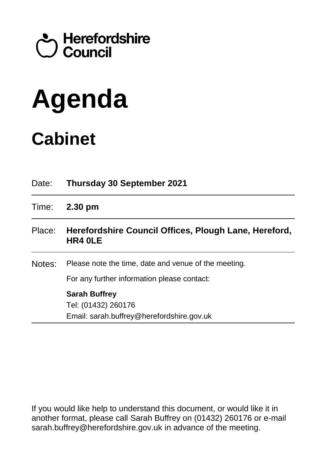## Council<br>Council

# **Agenda**

## **Cabinet**

| Date:  | <b>Thursday 30 September 2021</b>                                                                   |
|--------|-----------------------------------------------------------------------------------------------------|
| Time:  | $2.30 \text{ pm}$                                                                                   |
| Place: | Herefordshire Council Offices, Plough Lane, Hereford,<br>HR4 OLE                                    |
| Notes: | Please note the time, date and venue of the meeting.<br>For any further information please contact: |
|        | <b>Sarah Buffrey</b><br>Tel: (01432) 260176<br>Email: sarah.buffrey@herefordshire.gov.uk            |

If you would like help to understand this document, or would like it in another format, please call Sarah Buffrey on (01432) 260176 or e-mail sarah.buffrey@herefordshire.gov.uk in advance of the meeting.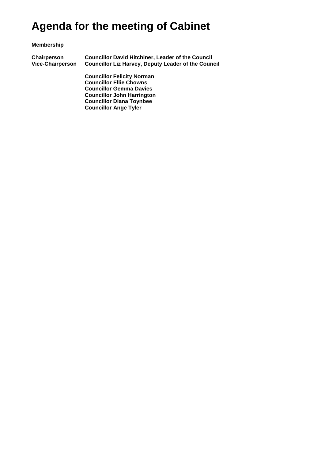### **Agenda for the meeting of Cabinet**

#### **Membership**

**Chairperson Councillor David Hitchiner, Leader of the Council Councillor Liz Harvey, Deputy Leader of the Council** 

> **Councillor Felicity Norman Councillor Ellie Chowns Councillor Gemma Davies Councillor John Harrington Councillor Diana Toynbee Councillor Ange Tyler**